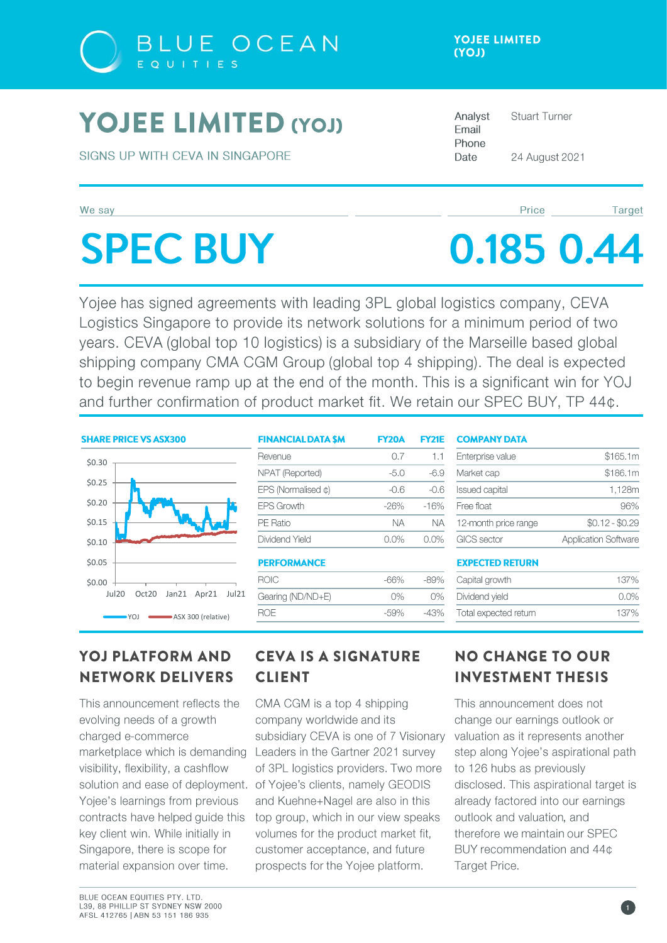

## **YOJEE LIMITED (YOJ)**

SIGNS UP WITH CEVA IN SINGAPORE

#### We say

# **SPEC BUY**

Analyst **Stuart Turner** Email Phone Date 24 August 2021

#### Price

Target

# 0.185 0.44

Yojee has signed agreements with leading 3PL global logistics company, CEVA Logistics Singapore to provide its network solutions for a minimum period of two years. CEVA (global top 10 logistics) is a subsidiary of the Marseille based global shipping company CMA CGM Group (global top 4 shipping). The deal is expected to begin revenue ramp up at the end of the month. This is a significant win for YOJ and further confirmation of product market fit. We retain our SPEC BUY, TP 44¢.

#### **SHARE PRICE VS ASX300**



| <b>FINANCIAL DATA SM</b> | <b>FY20A</b> | <b>FY21E</b> |
|--------------------------|--------------|--------------|
| Revenue                  | 0.7          | 1.1          |
| NPAT (Reported)          | $-5.0$       | -69          |
| EPS (Normalised $\phi$ ) | -06          | -06          |
| FPS Growth               | $-26%$       | $-16%$       |
| PE Ratio                 | NА           | NА           |
| Dividend Yield           | $0.0\%$      | 00%          |
|                          |              |              |

#### **PERFORMANCE**

| <b>ROIC</b>       | -66%  | $-89%$ |
|-------------------|-------|--------|
| Gearing (ND/ND+E) | $0\%$ | $O\%$  |
| <b>ROF</b>        | -59%  | -43%   |
|                   |       |        |

#### **COMPANY DATA**

| Enterprise value      | \$165.1m                    |
|-----------------------|-----------------------------|
| Market cap            | \$186.1m                    |
| <b>Issued capital</b> | 1.128m                      |
| Free float            | 96%                         |
| 12-month price range  | $$0.12 - $0.29$             |
| GICS sector           | <b>Application Software</b> |

#### **EXPECTED RETURN**

| Capital growth        | 137%    |
|-----------------------|---------|
| Dividend vield        | $0.0\%$ |
| Total expected return | 137%    |

## **YOJ PLATFORM AND NETWORK DELIVERS**

This announcement reflects the evolving needs of a growth charged e-commerce marketplace which is demanding visibility, flexibility, a cashflow Yojee's learnings from previous contracts have helped guide this key client win. While initially in Singapore, there is scope for material expansion over time.

## **CEVA IS A SIGNATURE CLIENT**

CMA CGM is a top 4 shipping company worldwide and its subsidiary CEVA is one of 7 Visionary Leaders in the Gartner 2021 survey of 3PL logistics providers. Two more solution and ease of deployment. of Yojee's clients, namely GEODIS and Kuehne+Nagel are also in this top group, which in our view speaks volumes for the product market fit, customer acceptance, and future prospects for the Yojee platform.

## **NO CHANGE TO OUR INVESTMENT THESIS**

This announcement does not change our earnings outlook or valuation as it represents another step along Yojee's aspirational path to 126 hubs as previously disclosed. This aspirational target is already factored into our earnings outlook and valuation, and therefore we maintain our SPEC BUY recommendation and 44¢ Target Price.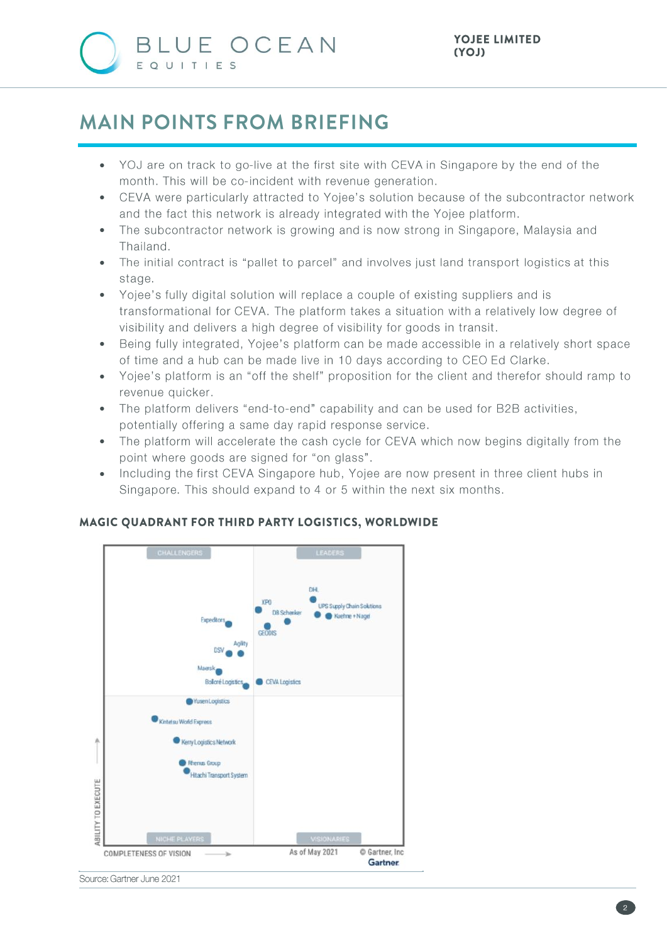

## **MAIN POINTS FROM BRIEFING**

- YOJ are on track to go-live at the first site with CEVA in Singapore by the end of the month. This will be co-incident with revenue generation.
- CEVA were particularly attracted to Yojee's solution because of the subcontractor network and the fact this network is already integrated with the Yojee platform.
- The subcontractor network is growing and is now strong in Singapore, Malaysia and Thailand.
- The initial contract is "pallet to parcel" and involves just land transport logistics at this stage.
- Yojee's fully digital solution will replace a couple of existing suppliers and is transformational for CEVA. The platform takes a situation with a relatively low degree of visibility and delivers a high degree of visibility for goods in transit.
- Being fully integrated, Yojee's platform can be made accessible in a relatively short space of time and a hub can be made live in 10 days according to CEO Ed Clarke.
- Yojee's platform is an "off the shelf" proposition for the client and therefor should ramp to revenue quicker.
- The platform delivers "end-to-end" capability and can be used for B2B activities, potentially offering a same day rapid response service.
- The platform will accelerate the cash cycle for CEVA which now begins digitally from the point where goods are signed for "on glass".
- Including the first CEVA Singapore hub, Yojee are now present in three client hubs in Singapore. This should expand to 4 or 5 within the next six months.



#### MAGIC QUADRANT FOR THIRD PARTY LOGISTICS, WORLDWIDE

Source: Gartner June 2021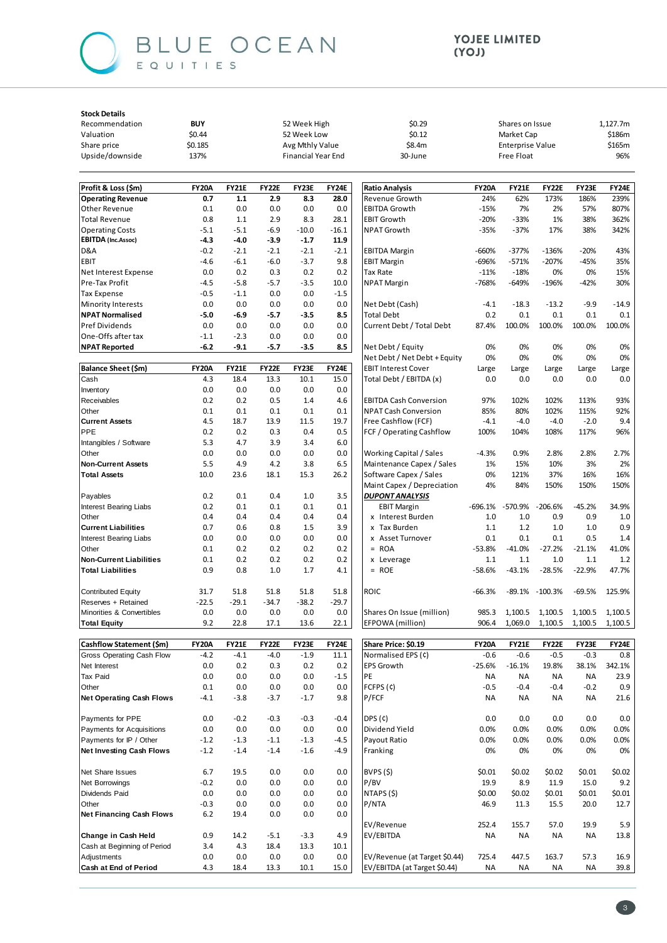

Payments for Acquisitions

**Net Investing Cash Flows** 

Net Financing Cash Flows

Cash at Beginning of Period

Change in Cash Held

Cash at End of Period

Payments for IP / Other

Net Share Issues

Net Borrowings

Dividends Paid

Adjustments

Other

 $0.0$ 

 $-1.2$ 

 $-1.2$ 

6.7

 $-0.2$ 

 $0.0$ 

 $-0.3$ 

 $6.2$ 

 $0.9$ 

 $3.4$ 

 $0.0\,$ 

 $4.3$ 

 $0.0$ 

 $-1.3$ 

 $-1.4$ 

19.5

 $0.0$ 

 $0.0$ 

 $0.0\,$ 

19.4

14.2

 $4.3$ 

 $0.0$ 

18.4

 $0.0$ 

 $-1.1$ 

 $-1.4$ 

 $0.0\,$ 

 $0.0$ 

 $0.0$ 

 $0.0\,$ 

 $0.0$ 

 $-5.1$ 

18.4

 $0.0$ 

 $13.3$ 

 $0.0$ 

 $-1.3$ 

 $-1.6$ 

 $0.0\,$ 

 $0.0$ 

 $0.0$ 

 $0.0\,$ 

 $0.0$ 

 $-3.3$ 

13.3

 $0.0$ 

 $10.1$ 

 $0.0$ 

 $-4.5$ 

 $-4.9$ 

 $0.0\,$ 

 $0.0$ 

 $0.0$ 

 $0.0\,$ 

 $0.0$ 

4.9

 $10.1$ 

 $0.0$ 

15.0

Dividend Yield

Payout Ratio

Franking

BVPS(\$)

NTAPS (\$)

EV/Revenue

EV/Revenue (at Target \$0.44)

EV/EBITDA (at Target \$0.44)

EV/EBITDA

 $P/BV$ 

P/NTA

 $0.0%$ 

 $0.0%$ 

 $$0.01$ 

19.9

 $$0.00$ 

46.9

 $252A$ 

725.4

**NA** 

**NA** 

0%

 $0.0%$ 

 $0.0%$ 

 $$0.02$$ 

 $$0.02$$ 

11.3

155.7

447.5

**NA** 

**NA** 

8.9

0%

 $0.0%$ 

 $0.0%$ 

 $$0.02$ 

11.9

 $$0.01$ 

15.5

57.0

**NA** 

163.7

**NA** 

0%

 $0.0%$ 

 $0.0%$ 

 $$0.01$ 

15.0

 $$0.01$ 

20.0

 $199$ 

**NA** 

57.3

**NA** 

0%

 $0.0%$ 

 $0.0%$ 

 $$0.02$ 

 $$0.01$ 

12.7

 $59$ 

13.8

16.9

39.8

 $9.2$ 

0%

#### YOJEE LIMITED (YOJ)

| <b>Stock Details</b>                      |                       |                     |                     |                           |               |                                         |                     |                         |                    |                      |                      |
|-------------------------------------------|-----------------------|---------------------|---------------------|---------------------------|---------------|-----------------------------------------|---------------------|-------------------------|--------------------|----------------------|----------------------|
| Recommendation                            | <b>BUY</b>            |                     |                     | 52 Week High              |               | \$0.29                                  |                     | Shares on Issue         |                    |                      | 1,127.7m             |
| Valuation                                 | \$0.44<br>52 Week Low |                     | \$0.12              |                           | Market Cap    |                                         |                     | \$186m                  |                    |                      |                      |
| Share price                               | \$0.185               |                     |                     | Avg Mthly Value           |               | \$8.4m                                  |                     | <b>Enterprise Value</b> |                    |                      | \$165m               |
| Upside/downside                           | 137%                  |                     |                     | <b>Financial Year End</b> |               | 30-June                                 |                     | <b>Free Float</b>       |                    |                      | 96%                  |
|                                           |                       |                     |                     |                           |               |                                         |                     |                         |                    |                      |                      |
| Profit & Loss (\$m)                       | <b>FY20A</b><br>0.7   | <b>FY21E</b><br>1.1 | <b>FY22E</b><br>2.9 | FY23E<br>8.3              | FY24E<br>28.0 | <b>Ratio Analysis</b><br>Revenue Growth | <b>FY20A</b><br>24% | <b>FY21E</b><br>62%     | <b>FY22E</b>       | <b>FY23E</b><br>186% | <b>FY24E</b><br>239% |
| <b>Operating Revenue</b><br>Other Revenue | 0.1                   | 0.0                 | 0.0                 | 0.0                       | 0.0           | <b>EBITDA Growth</b>                    | $-15%$              | 7%                      | 173%<br>2%         | 57%                  | 807%                 |
| <b>Total Revenue</b>                      | 0.8                   | 1.1                 | 2.9                 | 8.3                       | 28.1          | <b>EBIT Growth</b>                      | $-20%$              | $-33%$                  | 1%                 | 38%                  | 362%                 |
| <b>Operating Costs</b>                    | $-5.1$                | $-5.1$              | $-6.9$              | $-10.0$                   | $-16.1$       | <b>NPAT Growth</b>                      | $-35%$              | $-37%$                  | 17%                | 38%                  | 342%                 |
| <b>EBITDA</b> (Inc.Assoc)                 | $-4.3$                | $-4.0$              | $-3.9$              | $-1.7$                    | 11.9          |                                         |                     |                         |                    |                      |                      |
| D&A                                       | $-0.2$                | $-2.1$              | $-2.1$              | $-2.1$                    | $-2.1$        | <b>EBITDA Margin</b>                    | -660%               | $-377%$                 | $-136%$            | $-20%$               | 43%                  |
| EBIT                                      | $-4.6$                | $-6.1$              | $-6.0$              | $-3.7$                    | 9.8           | <b>EBIT Margin</b>                      | -696%               | $-571%$                 | $-207%$            | $-45%$               | 35%                  |
| Net Interest Expense                      | 0.0                   | 0.2                 | 0.3                 | 0.2                       | 0.2           | Tax Rate                                | $-11%$              | $-18%$                  | 0%                 | 0%                   | 15%                  |
| Pre-Tax Profit                            | $-4.5$                | $-5.8$              | $-5.7$              | $-3.5$                    | 10.0          | <b>NPAT Margin</b>                      | -768%               | $-649%$                 | $-196%$            | $-42%$               | 30%                  |
| <b>Tax Expense</b>                        | $-0.5$                | $-1.1$              | 0.0                 | 0.0                       | $-1.5$        |                                         |                     |                         |                    |                      |                      |
| <b>Minority Interests</b>                 | 0.0                   | 0.0                 | 0.0                 | 0.0                       | 0.0           | Net Debt (Cash)                         | $-4.1$              | $-18.3$                 | $-13.2$            | $-9.9$               | $-14.9$              |
| <b>NPAT Normalised</b>                    | $-5.0$                | -6.9                | $-5.7$              | $-3.5$                    | 8.5           | <b>Total Debt</b>                       | 0.2                 | 0.1                     | 0.1                | 0.1                  | 0.1                  |
| Pref Dividends                            | 0.0                   | 0.0                 | 0.0                 | 0.0                       | 0.0           | Current Debt / Total Debt               | 87.4%               | 100.0%                  | 100.0%             | 100.0%               | 100.0%               |
| One-Offs after tax                        | $-1.1$                | $-2.3$              | 0.0                 | 0.0                       | 0.0           |                                         |                     |                         |                    |                      |                      |
| <b>NPAT Reported</b>                      | $-6.2$                | $-9.1$              | -5.7                | $-3.5$                    | 8.5           | Net Debt / Equity                       | 0%                  | 0%                      | 0%                 | 0%                   | 0%                   |
|                                           |                       |                     |                     |                           |               | Net Debt / Net Debt + Equity            | 0%                  | 0%                      | 0%                 | 0%                   | 0%                   |
| Balance Sheet (\$m)                       | <b>FY20A</b>          | <b>FY21E</b>        | <b>FY22E</b>        | FY23E                     | <b>FY24E</b>  | <b>EBIT Interest Cover</b>              | Large               | Large                   | Large              | Large                | Large                |
| Cash                                      | 4.3                   | 18.4                | 13.3                | 10.1                      | 15.0          | Total Debt / EBITDA (x)                 | 0.0                 | 0.0                     | 0.0                | 0.0                  | 0.0                  |
| Inventory                                 | 0.0                   | 0.0                 | 0.0                 | 0.0                       | 0.0           |                                         |                     |                         |                    |                      |                      |
| Receivables                               | 0.2                   | 0.2                 | 0.5                 | 1.4                       | 4.6           | <b>EBITDA Cash Conversion</b>           | 97%                 | 102%                    | 102%               | 113%                 | 93%                  |
| Other                                     | 0.1                   | 0.1                 | 0.1                 | 0.1                       | 0.1           | <b>NPAT Cash Conversion</b>             | 85%                 | 80%                     | 102%               | 115%                 | 92%                  |
| <b>Current Assets</b>                     | 4.5                   | 18.7                | 13.9                | 11.5                      | 19.7          | Free Cashflow (FCF)                     | $-4.1$              | $-4.0$                  | $-4.0$             | $-2.0$               | 9.4                  |
| PPE                                       | 0.2                   | 0.2                 | 0.3                 | 0.4                       | 0.5           | FCF / Operating Cashflow                | 100%                | 104%                    | 108%               | 117%                 | 96%                  |
| Intangibles / Software                    | 5.3                   | 4.7                 | 3.9                 | 3.4                       | 6.0           |                                         |                     |                         |                    |                      |                      |
| Other                                     | 0.0                   | 0.0                 | 0.0                 | 0.0                       | 0.0           | Working Capital / Sales                 | $-4.3%$             | 0.9%                    | 2.8%               | 2.8%                 | 2.7%                 |
| <b>Non-Current Assets</b>                 | 5.5                   | 4.9                 | 4.2                 | 3.8                       | 6.5           | Maintenance Capex / Sales               | 1%                  | 15%                     | 10%                | 3%                   | 2%                   |
| <b>Total Assets</b>                       | 10.0                  | 23.6                | 18.1                | 15.3                      | 26.2          | Software Capex / Sales                  | 0%                  | 121%                    | 37%                | 16%                  | 16%                  |
|                                           |                       |                     |                     |                           |               | Maint Capex / Depreciation              | 4%                  | 84%                     | 150%               | 150%                 | 150%                 |
| Payables                                  | 0.2                   | 0.1                 | 0.4                 | 1.0                       | 3.5           | <b>DUPONT ANALYSIS</b>                  |                     |                         |                    |                      |                      |
| <b>Interest Bearing Liabs</b>             | 0.2                   | 0.1                 | 0.1                 | 0.1                       | 0.1           | <b>EBIT Margin</b>                      | $-696.1%$           | -570.9%                 | $-206.6%$          | $-45.2%$             | 34.9%                |
| Other                                     | 0.4                   | 0.4                 | 0.4                 | 0.4                       | 0.4           | x Interest Burden                       | 1.0                 | 1.0                     | 0.9                | 0.9                  | 1.0                  |
| <b>Current Liabilities</b>                | 0.7                   | 0.6                 | 0.8                 | 1.5                       | 3.9           | x Tax Burden                            | 1.1                 | 1.2                     | 1.0                | 1.0                  | 0.9                  |
| <b>Interest Bearing Liabs</b>             | 0.0                   | 0.0                 | $0.0\,$             | 0.0                       | 0.0           | Asset Turnover<br>x                     | 0.1                 | 0.1                     | 0.1                | 0.5                  | 1.4                  |
| Other                                     | 0.1                   | 0.2                 | 0.2                 | 0.2                       | 0.2           | <b>ROA</b><br>$=$                       | $-53.8%$            | $-41.0%$                | $-27.2%$           | $-21.1%$             | 41.0%                |
| <b>Non-Current Liabilities</b>            | 0.1                   | 0.2                 | 0.2                 | 0.2                       | 0.2           | Leverage<br>x                           | 1.1                 | 1.1                     | 1.0                | 1.1                  | 1.2                  |
| <b>Total Liabilities</b>                  | 0.9                   | 0.8                 | 1.0                 | 1.7                       | 4.1           | $= ROE$                                 | $-58.6%$            | $-43.1%$                | $-28.5%$           | $-22.9%$             | 47.7%                |
| <b>Contributed Equity</b>                 | 31.7                  | 51.8                | 51.8                | 51.8                      | 51.8          | <b>ROIC</b>                             | $-66.3%$            |                         | $-89.1\% -100.3\%$ | $-69.5%$             | 125.9%               |
| Reserves + Retained                       | $-22.5$               | $-29.1$             | $-34.7$             | $-38.2$                   | $-29.7$       |                                         |                     |                         |                    |                      |                      |
| Minorities & Convertibles                 | 0.0                   | 0.0                 | $0.0\,$             | $0.0\,$                   | 0.0           | Shares On Issue (million)               | 985.3               | 1,100.5                 | 1,100.5            | 1,100.5              | 1,100.5              |
| <b>Total Equity</b>                       | 9.2                   | 22.8                | 17.1                | 13.6                      | 22.1          | EFPOWA (million)                        | 906.4               | 1,069.0                 | 1,100.5            | 1,100.5              | 1,100.5              |
|                                           |                       |                     |                     |                           |               |                                         |                     |                         |                    |                      |                      |
| Cashflow Statement (\$m)                  | <b>FY20A</b>          | <b>FY21E</b>        | <b>FY22E</b>        | FY23E                     | <b>FY24E</b>  | Share Price: \$0.19                     | <b>FY20A</b>        | <b>FY21E</b>            | <b>FY22E</b>       | FY23E                | FY24E                |
| Gross Operating Cash Flow                 | $-4.2$                | $-4.1$              | $-4.0$              | $-1.9$                    | 11.1          | Normalised EPS (¢)                      | $-0.6$              | $-0.6$                  | $-0.5$             | $-0.3$               | 0.8                  |
| Net Interest                              | 0.0                   | 0.2                 | 0.3                 | 0.2                       | 0.2           | EPS Growth                              | $-25.6%$            | $-16.1%$                | 19.8%              | 38.1%                | 342.1%               |
| Tax Paid                                  | 0.0                   | 0.0                 | 0.0                 | 0.0                       | $-1.5$        | PE                                      | ΝA                  | ΝA                      | ΝA                 | ΝA                   | 23.9                 |
| Other                                     | 0.1                   | 0.0                 | 0.0                 | 0.0                       | 0.0           | FCFPS (c)                               | $-0.5$              | $-0.4$                  | -0.4               | $-0.2$               | 0.9                  |
| <b>Net Operating Cash Flows</b>           | $-4.1$                | $-3.8$              | $-3.7$              | $-1.7$                    | 9.8           | P/FCF                                   | ΝA                  | ΝA                      | ΝA                 | ΝA                   | 21.6                 |
| Payments for PPE                          | 0.0                   | $-0.2$              | $-0.3$              | $-0.3$                    | $-0.4$        | DPS(¢)                                  | $0.0\,$             | 0.0                     | 0.0                | 0.0                  | $0.0\,$              |